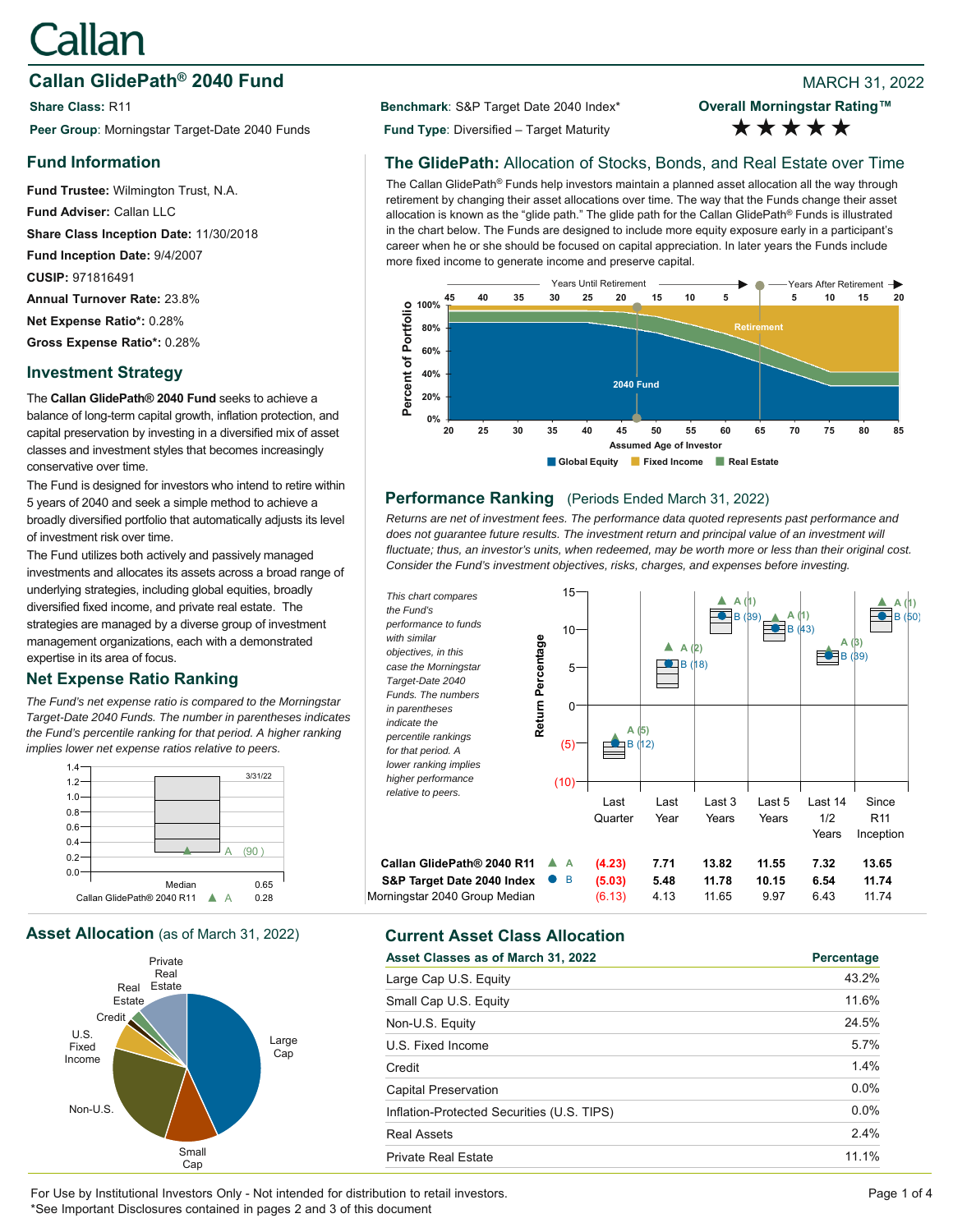# **Callan**

# **Callan GlidePath<sup>®</sup> 2040 Fund Branch 2010 8 2022 8 2022 8 2022 8 2022**

**Share Class: R11 Benchmark: S&P Target Date 2040 Index\*** Peer Group: Morningstar Target-Date 2040 Funds **Fund Type**: Diversified – Target Maturity

# **Fund Information**

**Fund Trustee:** Wilmington Trust, N.A. **Fund Adviser:** Callan LLC **Share Class Inception Date:** 11/30/2018 **Fund Inception Date:** 9/4/2007 **CUSIP:** 971816491 **Annual Turnover Rate:** 23.8% **Net Expense Ratio\*:** 0.28% **Gross Expense Ratio\*:** 0.28%

## **Investment Strategy**

The **Callan GlidePath® 2040 Fund** seeks to achieve a balance of long-term capital growth, inflation protection, and capital preservation by investing in a diversified mix of asset classes and investment styles that becomes increasingly conservative over time.

The Fund is designed for investors who intend to retire within 5 years of 2040 and seek a simple method to achieve a broadly diversified portfolio that automatically adjusts its level of investment risk over time.

The Fund utilizes both actively and passively managed investments and allocates its assets across a broad range of underlying strategies, including global equities, broadly diversified fixed income, and private real estate. The strategies are managed by a diverse group of investment management organizations, each with a demonstrated expertise in its area of focus.

# **Net Expense Ratio Ranking**

*The Fund's net expense ratio is compared to the Morningstar Target-Date 2040 Funds. The number in parentheses indicates the Fund's percentile ranking for that period. A higher ranking implies lower net expense ratios relative to peers.*







**Overall Morningstar Rating™** \*\*\*\*\*

# **The GlidePath:** Allocation of Stocks, Bonds, and Real Estate over Time

The Callan GlidePath® Funds help investors maintain a planned asset allocation all the way through retirement by changing their asset allocations over time. The way that the Funds change their asset allocation is known as the "glide path." The glide path for the Callan GlidePath® Funds is illustrated in the chart below. The Funds are designed to include more equity exposure early in a participant's career when he or she should be focused on capital appreciation. In later years the Funds include more fixed income to generate income and preserve capital.



### **Performance Ranking** (Periods Ended March 31, 2022)

*Returns are net of investment fees. The performance data quoted represents past performance and*  does not quarantee future results. The investment return and principal value of an investment will *fluctuate; thus, an investor's units, when redeemed, may be worth more or less than their original cost. Consider the Fund's investment objectives, risks, charges, and expenses before investing.*



| Asset Classes as of March 31, 2022         | Percentage |
|--------------------------------------------|------------|
| Large Cap U.S. Equity                      | 43.2%      |
| Small Cap U.S. Equity                      | 11.6%      |
| Non-U.S. Equity                            | 24.5%      |
| U.S. Fixed Income                          | 5.7%       |
| Credit                                     | 1.4%       |
| <b>Capital Preservation</b>                | $0.0\%$    |
| Inflation-Protected Securities (U.S. TIPS) | $0.0\%$    |
| Real Assets                                | 2.4%       |
| <b>Private Real Estate</b>                 | 11 1%      |

For Use by Institutional Investors Only - Not intended for distribution to retail investors. Page 1 of 4 \*See Important Disclosures contained in pages 2 and 3 of this document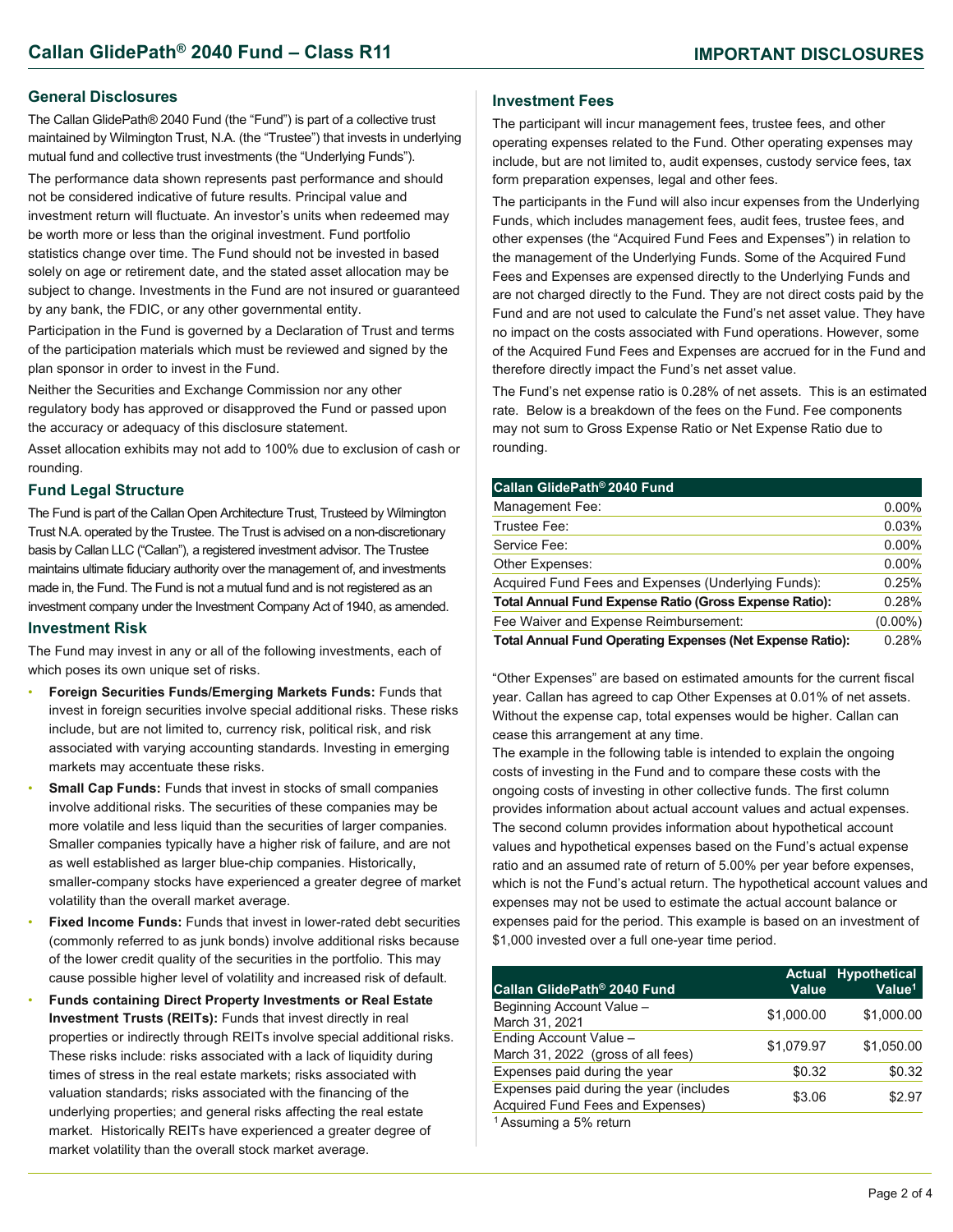#### **General Disclosures**

The Callan GlidePath® 2040 Fund (the "Fund") is part of a collective trust maintained by Wilmington Trust, N.A. (the "Trustee") that invests in underlying mutual fund and collective trust investments (the "Underlying Funds").

The performance data shown represents past performance and should not be considered indicative of future results. Principal value and investment return will fluctuate. An investor's units when redeemed may be worth more or less than the original investment. Fund portfolio statistics change over time. The Fund should not be invested in based solely on age or retirement date, and the stated asset allocation may be subject to change. Investments in the Fund are not insured or guaranteed by any bank, the FDIC, or any other governmental entity.

Participation in the Fund is governed by a Declaration of Trust and terms of the participation materials which must be reviewed and signed by the plan sponsor in order to invest in the Fund.

Neither the Securities and Exchange Commission nor any other regulatory body has approved or disapproved the Fund or passed upon the accuracy or adequacy of this disclosure statement.

Asset allocation exhibits may not add to 100% due to exclusion of cash or rounding.

#### **Fund Legal Structure**

The Fund is part of the Callan Open Architecture Trust, Trusteed by Wilmington Trust N.A. operated by the Trustee. The Trust is advised on a non-discretionary basis by Callan LLC ("Callan"), a registered investment advisor. The Trustee maintains ultimate fiduciary authority over the management of, and investments made in, the Fund. The Fund is not a mutual fund and is not registered as an investment company under the Investment Company Act of 1940, as amended.

#### **Investment Risk**

The Fund may invest in any or all of the following investments, each of which poses its own unique set of risks.

- **Foreign Securities Funds/Emerging Markets Funds:** Funds that invest in foreign securities involve special additional risks. These risks include, but are not limited to, currency risk, political risk, and risk associated with varying accounting standards. Investing in emerging markets may accentuate these risks.
- **Small Cap Funds: Funds that invest in stocks of small companies** involve additional risks. The securities of these companies may be more volatile and less liquid than the securities of larger companies. Smaller companies typically have a higher risk of failure, and are not as well established as larger blue-chip companies. Historically, smaller-company stocks have experienced a greater degree of market volatility than the overall market average.
- **Fixed Income Funds:** Funds that invest in lower-rated debt securities (commonly referred to as junk bonds) involve additional risks because of the lower credit quality of the securities in the portfolio. This may cause possible higher level of volatility and increased risk of default.
- **Funds containing Direct Property Investments or Real Estate Investment Trusts (REITs):** Funds that invest directly in real properties or indirectly through REITs involve special additional risks. These risks include: risks associated with a lack of liquidity during times of stress in the real estate markets; risks associated with valuation standards; risks associated with the financing of the underlying properties; and general risks affecting the real estate market. Historically REITs have experienced a greater degree of market volatility than the overall stock market average.

#### **Investment Fees**

The participant will incur management fees, trustee fees, and other operating expenses related to the Fund. Other operating expenses may include, but are not limited to, audit expenses, custody service fees, tax form preparation expenses, legal and other fees.

The participants in the Fund will also incur expenses from the Underlying Funds, which includes management fees, audit fees, trustee fees, and other expenses (the "Acquired Fund Fees and Expenses") in relation to the management of the Underlying Funds. Some of the Acquired Fund Fees and Expenses are expensed directly to the Underlying Funds and are not charged directly to the Fund. They are not direct costs paid by the Fund and are not used to calculate the Fund's net asset value. They have no impact on the costs associated with Fund operations. However, some of the Acquired Fund Fees and Expenses are accrued for in the Fund and therefore directly impact the Fund's net asset value.

The Fund's net expense ratio is 0.28% of net assets. This is an estimated rate. Below is a breakdown of the fees on the Fund. Fee components may not sum to Gross Expense Ratio or Net Expense Ratio due to rounding.

| Callan GlidePath® 2040 Fund                                      |            |
|------------------------------------------------------------------|------------|
| Management Fee:                                                  | $0.00\%$   |
| Trustee Fee:                                                     | 0.03%      |
| Service Fee:                                                     | $0.00\%$   |
| Other Expenses:                                                  | $0.00\%$   |
| Acquired Fund Fees and Expenses (Underlying Funds):              | 0.25%      |
| <b>Total Annual Fund Expense Ratio (Gross Expense Ratio):</b>    | 0.28%      |
| Fee Waiver and Expense Reimbursement:                            | $(0.00\%)$ |
| <b>Total Annual Fund Operating Expenses (Net Expense Ratio):</b> | 0.28%      |

"Other Expenses" are based on estimated amounts for the current fiscal year. Callan has agreed to cap Other Expenses at 0.01% of net assets. Without the expense cap, total expenses would be higher. Callan can cease this arrangement at any time.

The example in the following table is intended to explain the ongoing costs of investing in the Fund and to compare these costs with the ongoing costs of investing in other collective funds. The first column provides information about actual account values and actual expenses. The second column provides information about hypothetical account values and hypothetical expenses based on the Fund's actual expense ratio and an assumed rate of return of 5.00% per year before expenses, which is not the Fund's actual return. The hypothetical account values and expenses may not be used to estimate the actual account balance or expenses paid for the period. This example is based on an investment of \$1,000 invested over a full one-year time period.

| Callan GlidePath® 2040 Fund                                                 | <b>Value</b> | <b>Actual Hypothetical</b><br>Value <sup>1</sup> |
|-----------------------------------------------------------------------------|--------------|--------------------------------------------------|
| Beginning Account Value -<br>March 31, 2021                                 | \$1,000.00   | \$1,000.00                                       |
| Ending Account Value -<br>March 31, 2022 (gross of all fees)                | \$1,079.97   | \$1.050.00                                       |
| Expenses paid during the year                                               | \$0.32       | \$0.32                                           |
| Expenses paid during the year (includes<br>Acquired Fund Fees and Expenses) | \$3.06       | \$2.97                                           |
| <sup>1</sup> Assuming a 5% return                                           |              |                                                  |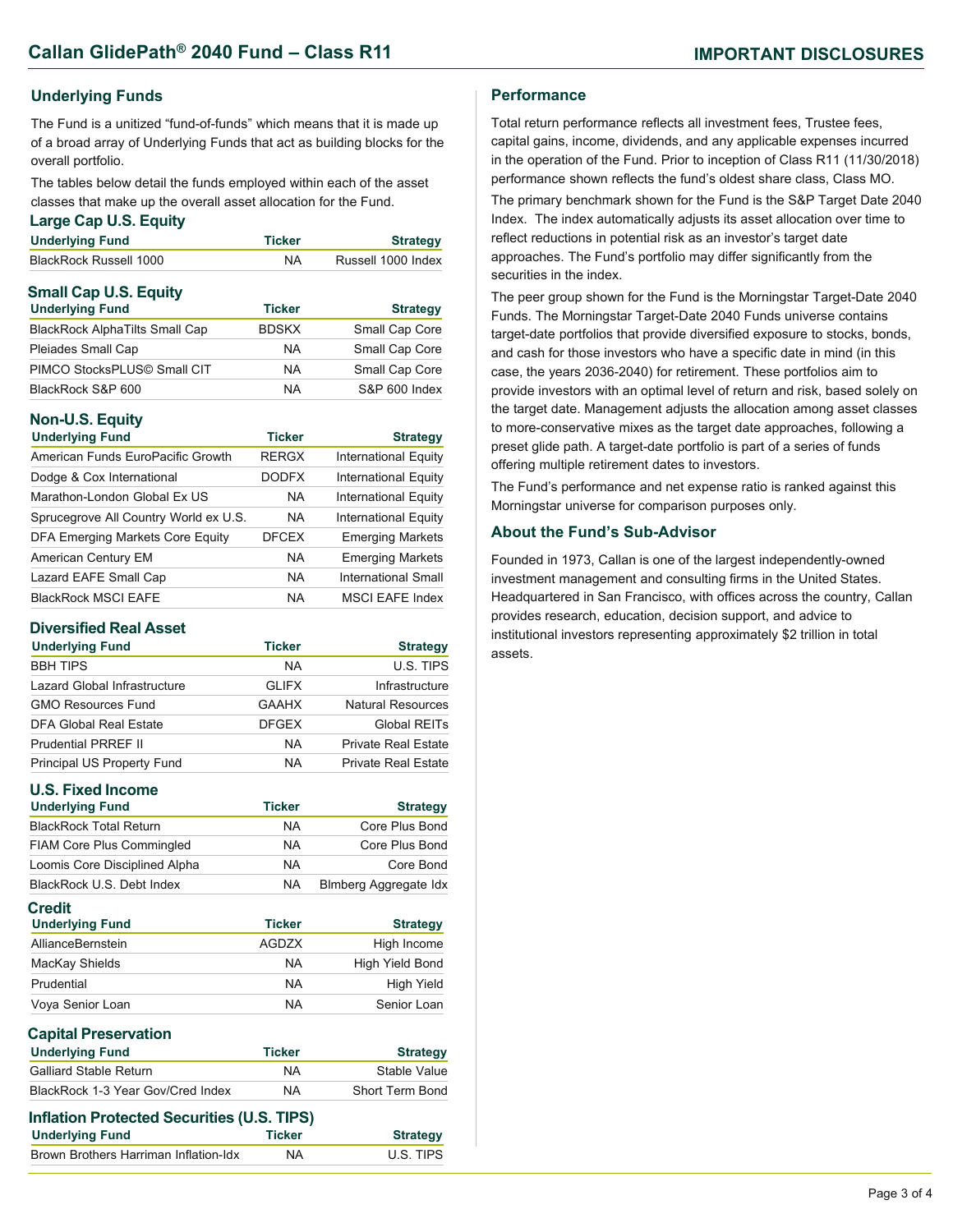### **Underlying Funds**

The Fund is a unitized "fund-of-funds" which means that it is made up of a broad array of Underlying Funds that act as building blocks for the overall portfolio.

The tables below detail the funds employed within each of the asset classes that make up the overall asset allocation for the Fund.

#### **Large Cap U.S. Equity**

| <b>Underlying Fund</b>              | Ticker | <b>Strategy</b>    |
|-------------------------------------|--------|--------------------|
| <b>BlackRock Russell 1000</b>       | NA.    | Russell 1000 Index |
| <b>Small Cap U.S. Equity</b>        |        |                    |
| <b>The should show it Three all</b> | アミュレート | $R_1 = 1 - 1$      |

| <b>Underlying Fund</b>                | <b>Ticker</b> | <b>Strategy</b> |
|---------------------------------------|---------------|-----------------|
| <b>BlackRock AlphaTilts Small Cap</b> | <b>BDSKX</b>  | Small Cap Core  |
| Pleiades Small Cap                    | <b>NA</b>     | Small Cap Core  |
| PIMCO StocksPLUS© Small CIT           | <b>NA</b>     | Small Cap Core  |
| BlackRock S&P 600                     | <b>NA</b>     | S&P 600 Index   |

### **Non-U.S. Equity**

| <b>Underlying Fund</b>                  | <b>Ticker</b> | <b>Strategy</b>             |
|-----------------------------------------|---------------|-----------------------------|
| American Funds EuroPacific Growth       | <b>RERGX</b>  | <b>International Equity</b> |
| Dodge & Cox International               | <b>DODFX</b>  | <b>International Equity</b> |
| Marathon-London Global Ex US            | <b>NA</b>     | <b>International Equity</b> |
| Sprucegrove All Country World ex U.S.   | <b>NA</b>     | <b>International Equity</b> |
| <b>DFA Emerging Markets Core Equity</b> | <b>DFCEX</b>  | <b>Emerging Markets</b>     |
| American Century EM                     | <b>NA</b>     | <b>Emerging Markets</b>     |
| Lazard EAFE Small Cap                   | <b>NA</b>     | International Small         |
| <b>BlackRock MSCI EAFE</b>              | NA            | <b>MSCI EAFE Index</b>      |

#### **Diversified Real Asset**

| <b>Underlying Fund</b>       | <b>Ticker</b> | <b>Strategy</b>            |
|------------------------------|---------------|----------------------------|
| <b>BBH TIPS</b>              | NA            | U.S. TIPS                  |
| Lazard Global Infrastructure | <b>GLIFX</b>  | Infrastructure             |
| <b>GMO Resources Fund</b>    | <b>GAAHX</b>  | <b>Natural Resources</b>   |
| DFA Global Real Estate       | <b>DFGEX</b>  | Global REITs               |
| <b>Prudential PRREF II</b>   | <b>NA</b>     | <b>Private Real Estate</b> |
| Principal US Property Fund   | <b>NA</b>     | <b>Private Real Estate</b> |

### **U.S. Fixed Income**

| <b>U.S. Fixed Income</b>                   |               |                        |
|--------------------------------------------|---------------|------------------------|
| <b>Underlying Fund</b>                     | <b>Ticker</b> | <b>Strategy</b>        |
| <b>BlackRock Total Return</b>              | <b>NA</b>     | Core Plus Bond         |
| <b>FIAM Core Plus Commingled</b>           | NA.           | Core Plus Bond         |
| Loomis Core Disciplined Alpha              | <b>NA</b>     | Core Bond              |
| BlackRock U.S. Debt Index                  | <b>NA</b>     | Blmberg Aggregate Idx  |
| <b>Credit</b><br><b>Underlying Fund</b>    | <b>Ticker</b> | <b>Strategy</b>        |
| AllianceBernstein                          | <b>AGDZX</b>  | High Income            |
| MacKay Shields                             | <b>NA</b>     | High Yield Bond        |
| Prudential                                 | <b>NA</b>     | High Yield             |
| Voya Senior Loan                           | <b>NA</b>     | Senior Loan            |
| <b>Capital Preservation</b>                |               |                        |
| <b>Underlying Fund</b>                     | <b>Ticker</b> | <b>Strategy</b>        |
| <b>Galliard Stable Return</b>              | <b>NA</b>     | Stable Value           |
| BlackRock 1-3 Year Gov/Cred Index          | <b>NA</b>     | <b>Short Term Bond</b> |
| Inflation Protected Securities (U.S. TIPS) |               |                        |
| <b>Underlying Fund</b>                     | <b>Ticker</b> | <b>Strategy</b>        |
| Brown Brothers Harriman Inflation-Idx      | NA            | U.S. TIPS              |

#### **Performance**

Total return performance reflects all investment fees, Trustee fees, capital gains, income, dividends, and any applicable expenses incurred in the operation of the Fund. Prior to inception of Class R11 (11/30/2018) performance shown reflects the fund's oldest share class, Class MO.

The primary benchmark shown for the Fund is the S&P Target Date 2040 Index. The index automatically adjusts its asset allocation over time to reflect reductions in potential risk as an investor's target date approaches. The Fund's portfolio may differ significantly from the securities in the index.

The peer group shown for the Fund is the Morningstar Target-Date 2040 Funds. The Morningstar Target-Date 2040 Funds universe contains target-date portfolios that provide diversified exposure to stocks, bonds, and cash for those investors who have a specific date in mind (in this case, the years 2036-2040) for retirement. These portfolios aim to provide investors with an optimal level of return and risk, based solely on the target date. Management adjusts the allocation among asset classes to more-conservative mixes as the target date approaches, following a preset glide path. A target-date portfolio is part of a series of funds offering multiple retirement dates to investors.

The Fund's performance and net expense ratio is ranked against this Morningstar universe for comparison purposes only.

#### **About the Fund's Sub-Advisor**

Founded in 1973, Callan is one of the largest independently-owned investment management and consulting firms in the United States. Headquartered in San Francisco, with offices across the country, Callan provides research, education, decision support, and advice to institutional investors representing approximately \$2 trillion in total assets.